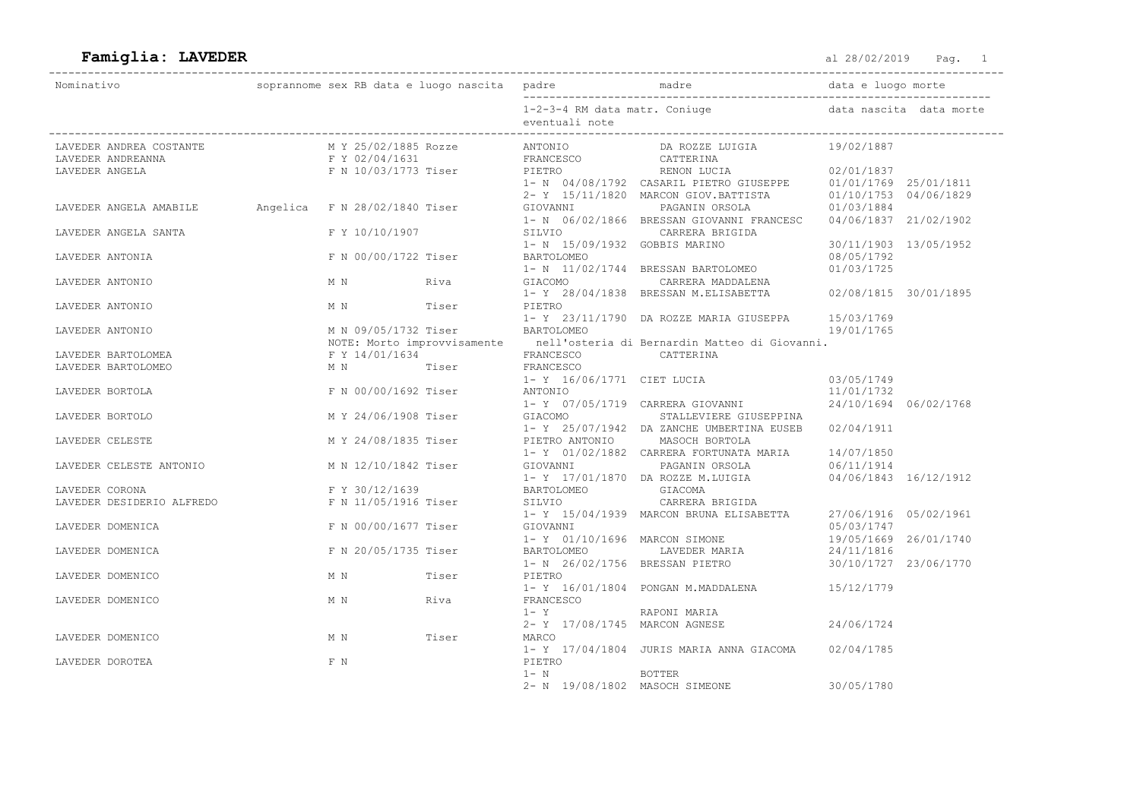## Famiglia: LAVEDER and the set of the set of the set of the set of the set of the set of the set of the set of the set of the set of the set of the set of the set of the set of the set of the set of the set of the set of th

| Nominativo                                   |                                        |       |                                                                       |                                                                                                                                         | data e luogo morte                  |                         |
|----------------------------------------------|----------------------------------------|-------|-----------------------------------------------------------------------|-----------------------------------------------------------------------------------------------------------------------------------------|-------------------------------------|-------------------------|
|                                              |                                        |       | eventuali note                                                        | 1-2-3-4 RM data matr. Coniuge                                                                                                           |                                     | data nascita data morte |
| LAVEDER ANDREA COSTANTE<br>LAVEDER ANDREANNA | M Y 25/02/1885 Rozze<br>F Y 02/04/1631 |       | -----<br>ANTONIO DA ROZZE L<br>TRANCESCO CATTERINA<br>FRANCESCO       | DA ROZZE LUIGIA                                                                                                                         | 19/02/1887                          |                         |
| LAVEDER ANGELA                               | F N 10/03/1773 Tiser PIETRO            |       |                                                                       |                                                                                                                                         |                                     |                         |
|                                              |                                        |       |                                                                       | 1- N 06/02/1866 BRESSAN GIOVANNI FRANCESC 04/06/1837 21/02/1902                                                                         |                                     |                         |
| LAVEDER ANGELA SANTA                         | F Y 10/10/1907                         |       | 1- N 15/09/1932 GOBBIS MARINO                                         | SILVIO CARRERA BRIGIDA                                                                                                                  | 30/11/1903 13/05/1952               |                         |
| LAVEDER ANTONIA                              | F N 00/00/1722 Tiser                   |       | BARTOLOMEO                                                            | 1- N 11/02/1744 BRESSAN BARTOLOMEO                                                                                                      | 08/05/1792<br>01/03/1725            |                         |
| LAVEDER ANTONIO                              | M N Riva                               |       |                                                                       | GIACOMO CARRERA MADDALENA<br>1- Y 28/04/1838 BRESSAN M.ELISABETTA 02/08/1815 30/01/1895                                                 |                                     |                         |
| LAVEDER ANTONIO                              | M N Tiser PIETRO                       |       |                                                                       | 1- Y 23/11/1790 DA ROZZE MARIA GIUSEPPA 15/03/1769                                                                                      |                                     |                         |
| LAVEDER ANTONIO                              | M N 09/05/1732 Tiser BARTOLOMEO        |       |                                                                       | NOTE: Morto improvvisamente en nell'osteria di Bernardin Matteo di Giovanni.                                                            | 19/01/1765                          |                         |
| LAVEDER BARTOLOMEA<br>LAVEDER BARTOLOMEO     | M N Tiser FRANCESCO                    |       | $F Y 14/01/1634$ $F RANCESCO$ CATTERINA<br>1- Y 16/06/1771 CIET LUCIA |                                                                                                                                         | 03/05/1749                          |                         |
| LAVEDER BORTOLA                              | F N 00/00/1692 Tiser                   |       | ANTONIO                                                               | 1- Y 07/05/1719 CARRERA GIOVANNI 24/10/1694 06/02/1768                                                                                  | 11/01/1732                          |                         |
| LAVEDER BORTOLO                              |                                        |       |                                                                       | M Y 24/06/1908 Tiser GIACOMO STALLEVIERE GIUSEPPINA<br>1- Y 25/07/1942 DA ZANCHE UMBERTINA EUSEB 02/04/1911                             |                                     |                         |
| LAVEDER CELESTE                              |                                        |       |                                                                       | M Y 24/08/1835 Tiser PIETRO ANTONIO MASOCH BORTOLA<br>1- Y 01/02/1882 CARRERA FORTUNATA MARIA 14/07/1850                                |                                     |                         |
| LAVEDER CELESTE ANTONIO                      |                                        |       | M N 12/10/1842 Tiser GIOVANNI                                         | PAGANIN ORSOLA 06/11/1914<br>1- Y 17/01/1870 DA ROZZE M.LUIGIA                                                                          | 04/06/1843 16/12/1912               |                         |
| LAVEDER CORONA<br>LAVEDER DESIDERIO ALFREDO  | F Y 30/12/1639<br>F N 11/05/1916 Tiser |       | BARTOLOMEO GIACOMA                                                    | SILVIO CARRERA BRIGIDA                                                                                                                  |                                     |                         |
| LAVEDER DOMENICA                             | F N 00/00/1677 Tiser                   |       | GIOVANNI                                                              | 1- Y 15/04/1939 MARCON BRUNA ELISABETTA                                                                                                 | 27/06/1916 05/02/1961<br>05/03/1747 |                         |
| LAVEDER DOMENICA                             | F N 20/05/1735 Tiser                   |       |                                                                       | 1- Y 01/10/1696 MARCON SIMONE 19/05/1669 26/01/1740<br>BARTOLOMEO LAVEDER MARIA<br>1- N 26/02/1756 BRESSAN PIETRO 30/10/1727 23/06/1770 | 24/11/1816                          |                         |
| LAVEDER DOMENICO                             | M N Tiser                              |       | PIETRO                                                                | $1 - Y$ 16/01/1804 PONGAN M.MADDALENA $15/12/1779$                                                                                      |                                     |                         |
| LAVEDER DOMENICO                             | M N Riva                               |       | FRANCESCO<br>$1 - Y$                                                  | RAPONI MARIA                                                                                                                            |                                     |                         |
| LAVEDER DOMENICO                             | M N                                    | Tiser | 2- Y 17/08/1745 MARCON AGNESE<br>MARCO                                |                                                                                                                                         | 24/06/1724                          |                         |
| LAVEDER DOROTEA                              | F N                                    |       | PIETRO<br>$1 - N$                                                     | 1- Y 17/04/1804 JURIS MARIA ANNA GIACOMA                                                                                                | 02/04/1785                          |                         |
|                                              |                                        |       | 2- N 19/08/1802 MASOCH SIMEONE                                        | BOTTER                                                                                                                                  | 30/05/1780                          |                         |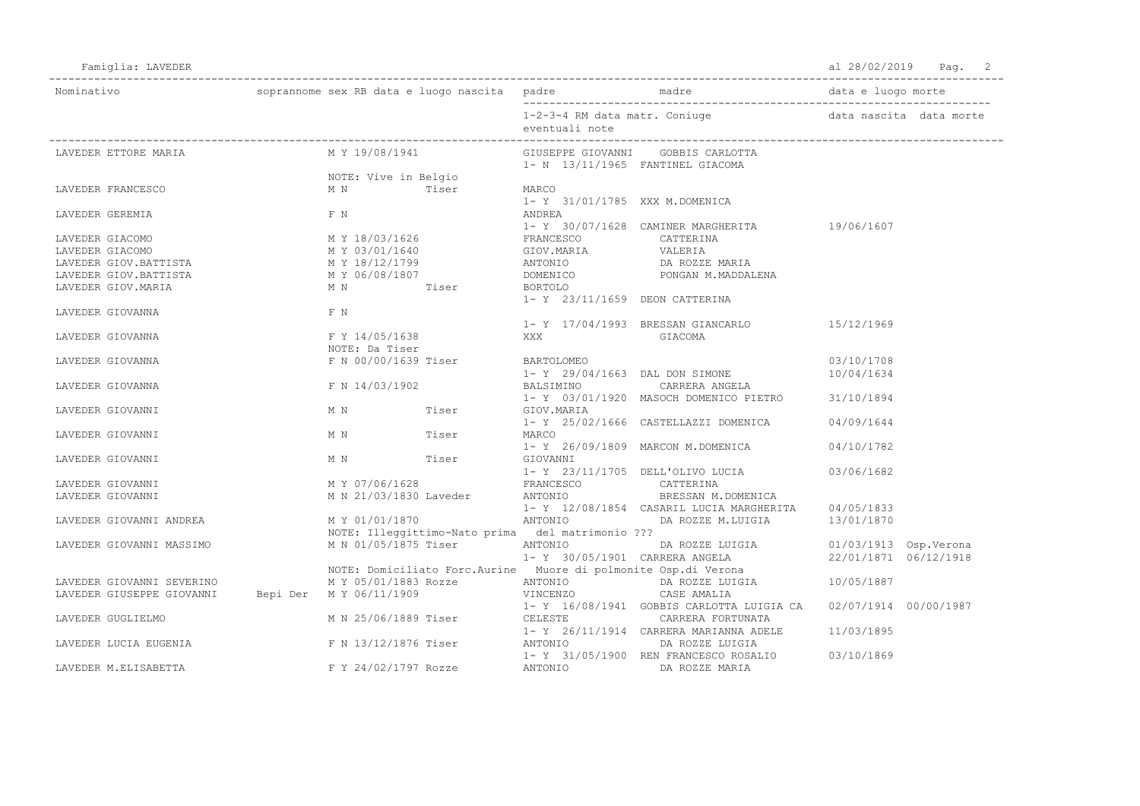Famiglia: LAVEDER Pag. 2

| Nominativo                                        |  |                                                            |       |            |                |                                                                                    |                       |  |
|---------------------------------------------------|--|------------------------------------------------------------|-------|------------|----------------|------------------------------------------------------------------------------------|-----------------------|--|
|                                                   |  |                                                            |       |            | eventuali note | 1-2-3-4 RM data matr. Coniuge by a change data nascita data morte                  |                       |  |
| LAVEDER ETTORE MARIA                              |  | M Y 19/08/1941                                             |       |            |                | GIUSEPPE GIOVANNI GOBBIS CARLOTTA<br>1- N 13/11/1965 FANTINEL GIACOMA              |                       |  |
|                                                   |  | NOTE: Vive in Belgio                                       |       |            |                |                                                                                    |                       |  |
| LAVEDER FRANCESCO                                 |  | M N                                                        | Tiser | MARCO      |                |                                                                                    |                       |  |
|                                                   |  |                                                            |       |            |                | 1- Y 31/01/1785 XXX M.DOMENICA                                                     |                       |  |
| LAVEDER GEREMIA                                   |  | F N                                                        |       | ANDREA     |                |                                                                                    |                       |  |
|                                                   |  |                                                            |       |            |                | 1- Y 30/07/1628 CAMINER MARGHERITA 19/06/1607                                      |                       |  |
| LAVEDER GIACOMO                                   |  | M Y 18/03/1626                                             |       |            |                | FRANCESCO CATTERINA                                                                |                       |  |
| LAVEDER GIACOMO                                   |  |                                                            |       |            |                |                                                                                    |                       |  |
| LAVEDER GIOV.BATTISTA                             |  | M Y 18/12/1799                                             |       |            |                |                                                                                    |                       |  |
| LAVEDER GIOV.BATTISTA                             |  | M Y 06/08/1807                                             |       |            |                | DOMENICO PONGAN M.MADDALENA                                                        |                       |  |
| LAVEDER GIOV. MARIA                               |  | MN Tiser                                                   |       | BORTOLO    |                |                                                                                    |                       |  |
|                                                   |  |                                                            |       |            |                | 1- Y 23/11/1659 DEON CATTERINA                                                     |                       |  |
| LAVEDER GIOVANNA                                  |  | F N                                                        |       |            |                |                                                                                    |                       |  |
|                                                   |  |                                                            |       |            |                | 1- Y 17/04/1993 BRESSAN GIANCARLO                                                  | 15/12/1969            |  |
| LAVEDER GIOVANNA                                  |  | F Y 14/05/1638                                             |       | XXX        |                | GIACOMA                                                                            |                       |  |
|                                                   |  | NOTE: Da Tiser                                             |       |            |                |                                                                                    |                       |  |
| LAVEDER GIOVANNA                                  |  | F N 00/00/1639 Tiser                                       |       | BARTOLOMEO |                |                                                                                    | 03/10/1708            |  |
|                                                   |  |                                                            |       |            |                | 1- Y 29/04/1663 DAL DON SIMONE                                                     | 10/04/1634            |  |
| LAVEDER GIOVANNA                                  |  | F N 14/03/1902                                             |       |            | BALSIMINO      | CARRERA ANGELA                                                                     |                       |  |
|                                                   |  |                                                            |       |            |                | 1- Y 03/01/1920 MASOCH DOMENICO PIETRO 31/10/1894                                  |                       |  |
| LAVEDER GIOVANNI                                  |  | M N                                                        | Tiser | GIOV.MARIA |                |                                                                                    |                       |  |
|                                                   |  |                                                            |       |            |                | 1- Y 25/02/1666 CASTELLAZZI DOMENICA 04/09/1644                                    |                       |  |
| LAVEDER GIOVANNI                                  |  | M N Tiser                                                  |       | MARCO      |                |                                                                                    |                       |  |
|                                                   |  |                                                            |       |            |                | 1- Y 26/09/1809 MARCON M.DOMENICA                                                  | 04/10/1782            |  |
| LAVEDER GIOVANNI                                  |  | M N Tiser                                                  |       | GIOVANNI   |                |                                                                                    |                       |  |
|                                                   |  |                                                            |       |            |                | 1- Y 23/11/1705 DELL'OLIVO LUCIA                                                   | 03/06/1682            |  |
| LAVEDER GIOVANNI                                  |  |                                                            |       |            |                | CATTERINA                                                                          |                       |  |
| LAVEDER GIOVANNI                                  |  | M Y 07/06/1628 FRANCESCO<br>M N 21/03/1830 Laveder ANTONIO |       |            |                | BRESSAN M.DOMENICA                                                                 |                       |  |
|                                                   |  |                                                            |       |            |                | 1- Y 12/08/1854 CASARIL LUCIA MARGHERITA 04/05/1833                                |                       |  |
| LAVEDER GIOVANNI ANDREA                           |  | M Y 01/01/1870                                             |       | ANTONIO    |                | DA ROZZE M.LUIGIA 13/01/1870                                                       |                       |  |
|                                                   |  | NOTE: Illeggittimo-Nato prima del matrimonio ???           |       |            |                |                                                                                    |                       |  |
| LAVEDER GIOVANNI MASSIMO                          |  | M N 01/05/1875 Tiser                                       |       | ANTONIO    |                | DA ROZZE LUIGIA 01/03/1913 Osp. Verona                                             |                       |  |
|                                                   |  |                                                            |       |            |                | 1- Y 30/05/1901 CARRERA ANGELA 22/01/1871 06/12/1918                               |                       |  |
|                                                   |  |                                                            |       |            |                | NOTE: Domiciliato Forc.Aurine Muore di polmonite Osp.di Verona                     |                       |  |
| LAVEDER GIOVANNI SEVERINO                         |  |                                                            |       |            |                | $M Y 05/01/1883 Rozze$ $M T O N T O N I 05/1887$ $D A R O ZZE LUIGIA$ $10/05/1887$ |                       |  |
| LAVEDER GIUSEPPE GIOVANNI Bepi Der M Y 06/11/1909 |  |                                                            |       | VINCENZO   |                | CASE AMALIA                                                                        |                       |  |
|                                                   |  |                                                            |       |            |                | 1- Y 16/08/1941 GOBBIS CARLOTTA LUIGIA CA                                          | 02/07/1914 00/00/1987 |  |
| LAVEDER GUGLIELMO                                 |  | M N 25/06/1889 Tiser                                       |       |            |                | CELESTE CARRERA FORTUNATA                                                          |                       |  |
|                                                   |  |                                                            |       |            |                | 1- Y 26/11/1914 CARRERA MARIANNA ADELE 11/03/1895                                  |                       |  |
| LAVEDER LUCIA EUGENIA                             |  | F N 13/12/1876 Tiser                                       |       | ANTONIO    |                | DA ROZZE LUIGIA                                                                    |                       |  |
|                                                   |  |                                                            |       |            |                | 1- Y 31/05/1900 REN FRANCESCO ROSALIO 03/10/1869                                   |                       |  |
| LAVEDER M.ELISABETTA                              |  | F Y 24/02/1797 Rozze                                       |       | ANTONIO    |                | DA ROZZE MARIA                                                                     |                       |  |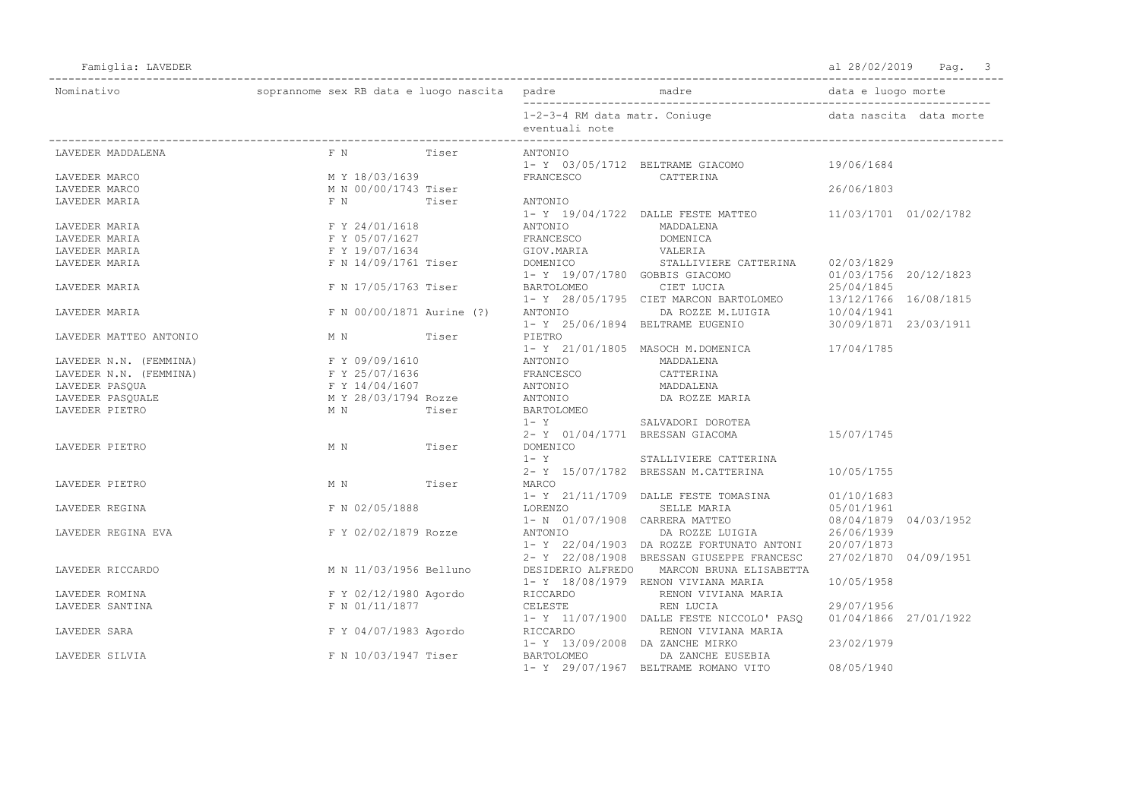Famiglia: LAVEDER Pag. 3

| Nominativo             |                                                                                |       |                                               |                                                                                                                                            |                       |                         |
|------------------------|--------------------------------------------------------------------------------|-------|-----------------------------------------------|--------------------------------------------------------------------------------------------------------------------------------------------|-----------------------|-------------------------|
|                        |                                                                                |       |                                               | 1-2-3-4 RM data matr. Coniuge                                                                                                              |                       | data nascita data morte |
|                        |                                                                                |       | eventuali note                                |                                                                                                                                            |                       |                         |
| LAVEDER MADDALENA      | F N<br>Tiser                                                                   |       | ANTONIO                                       |                                                                                                                                            |                       |                         |
|                        |                                                                                |       |                                               | 1- Y 03/05/1712 BELTRAME GIACOMO 19/06/1684                                                                                                |                       |                         |
| LAVEDER MARCO          | M Y 18/03/1639                                                                 |       | FRANCESCO                                     | CATTERINA                                                                                                                                  |                       |                         |
| LAVEDER MARCO          | M N 00/00/1743 Tiser                                                           |       |                                               |                                                                                                                                            | 26/06/1803            |                         |
| LAVEDER MARIA          | F N                                                                            | Tiser | ANTONIO                                       |                                                                                                                                            |                       |                         |
|                        |                                                                                |       |                                               | 1- Y 19/04/1722 DALLE FESTE MATTEO 11/03/1701 01/02/1782                                                                                   |                       |                         |
| LAVEDER MARIA          | F Y 24/01/1618                                                                 |       | ANTONIO                                       | MADDALENA                                                                                                                                  |                       |                         |
| LAVEDER MARIA          | F Y 05/07/1627                                                                 |       | FRANCESCO                                     | DOMENICA                                                                                                                                   |                       |                         |
| LAVEDER MARIA          | F Y 19/07/1634                                                                 |       | GIOV.MARIA VALERIA<br>Eisor DOMENICO CEALIIVI |                                                                                                                                            |                       |                         |
| LAVEDER MARIA          | F N 14/09/1761 Tiser                                                           |       | DOMENICO                                      | STALLIVIERE CATTERINA                                                                                                                      | 02/03/1829            |                         |
|                        |                                                                                |       | 1- Y 19/07/1780 GOBBIS GIACOMO                |                                                                                                                                            | 01/03/1756 20/12/1823 |                         |
| LAVEDER MARIA          | F N 17/05/1763 Tiser                                                           |       | BARTOLOMEO                                    |                                                                                                                                            |                       |                         |
|                        |                                                                                |       |                                               | $1-\quad Y \quad 28/05/1795 \quad CIET MARCON BARTOLOMEO \qquad \qquad 13/12/1766 \quad 16/08/1815$ ANTONIO DA ROZZE M.LUIGIA $10/04/1941$ |                       |                         |
| LAVEDER MARIA          | F N 00/00/1871 Aurine (?)                                                      |       |                                               |                                                                                                                                            |                       |                         |
|                        |                                                                                |       |                                               | 1- Y 25/06/1894 BELTRAME EUGENIO 30/09/1871 23/03/1911                                                                                     |                       |                         |
| LAVEDER MATTEO ANTONIO | M N Tiser                                                                      |       | PIETRO                                        |                                                                                                                                            |                       |                         |
|                        |                                                                                |       |                                               | 1- Y 21/01/1805 MASOCH M.DOMENICA 17/04/1785                                                                                               |                       |                         |
| LAVEDER N.N. (FEMMINA) | F Y 09/09/1610                                                                 |       | ANTONIO MADDALENA                             |                                                                                                                                            |                       |                         |
| LAVEDER N.N. (FEMMINA) | F Y 25/07/1636                                                                 |       | FRANCESCO CATTERINA                           |                                                                                                                                            |                       |                         |
| LAVEDER PASOUA         | F Y 14/04/1607                                                                 |       | ANTONIO                                       | MADDALENA                                                                                                                                  |                       |                         |
| LAVEDER PASQUALE       | M Y 28/03/1794 Rozze                                                           |       | ANTONIO                                       | DA ROZZE MARIA                                                                                                                             |                       |                         |
| LAVEDER PIETRO         | M N<br>Tiser                                                                   |       | BARTOLOMEO                                    |                                                                                                                                            |                       |                         |
|                        |                                                                                |       | $1 - Y$                                       | SALVADORI DOROTEA                                                                                                                          |                       |                         |
|                        |                                                                                |       | 2- Y 01/04/1771 BRESSAN GIACOMA               |                                                                                                                                            | 15/07/1745            |                         |
| LAVEDER PIETRO         | M N<br>Tiser                                                                   |       | DOMENICO                                      |                                                                                                                                            |                       |                         |
|                        |                                                                                |       | $1 - Y$                                       | STALLIVIERE CATTERINA                                                                                                                      |                       |                         |
|                        |                                                                                |       |                                               | 2- Y 15/07/1782 BRESSAN M.CATTERINA                                                                                                        | 10/05/1755            |                         |
| LAVEDER PIETRO         | M N Tiser                                                                      |       | MARCO                                         |                                                                                                                                            |                       |                         |
|                        |                                                                                |       |                                               | 1- Y 21/11/1709 DALLE FESTE TOMASINA                                                                                                       | 01/10/1683            |                         |
| LAVEDER REGINA         | F N 02/05/1888                                                                 |       | LORENZO                                       | SELLE MARIA                                                                                                                                | 05/01/1961            |                         |
|                        |                                                                                |       |                                               | 1- N 01/07/1908 CARRERA MATTEO                                                                                                             | 08/04/1879 04/03/1952 |                         |
| LAVEDER REGINA EVA     | F Y 02/02/1879 Rozze                                                           |       | ANTONIO                                       | DA ROZZE LUIGIA                                                                                                                            | 26/06/1939            |                         |
|                        |                                                                                |       |                                               | 1- Y 22/04/1903 DA ROZZE FORTUNATO ANTONI                                                                                                  | 20/07/1873            |                         |
|                        |                                                                                |       |                                               | 2- Y 22/08/1908 BRESSAN GIUSEPPE FRANCESC                                                                                                  | 27/02/1870 04/09/1951 |                         |
| LAVEDER RICCARDO       | M N 11/03/1956 Belluno                                                         |       | DESIDERIO ALFREDO                             | MARCON BRUNA ELISABETTA                                                                                                                    |                       |                         |
|                        |                                                                                |       |                                               | 1- Y 18/08/1979 RENON VIVIANA MARIA                                                                                                        | 10/05/1958            |                         |
| LAVEDER ROMINA         |                                                                                |       |                                               | RENON VIVIANA MARIA                                                                                                                        |                       |                         |
| LAVEDER SANTINA        | $F Y 02/12/1980$ Agordo RICCARDO<br>$F N 01/11/1877$ CELESTE<br>F N 01/11/1877 |       | CELESTE                                       | REN LUCIA                                                                                                                                  | 29/07/1956            |                         |
|                        |                                                                                |       |                                               | 1- Y 11/07/1900 DALLE FESTE NICCOLO' PASQ                                                                                                  | 01/04/1866 27/01/1922 |                         |
| LAVEDER SARA           | F Y 04/07/1983 Agordo                                                          |       | RICCARDO                                      | RENON VIVIANA MARIA                                                                                                                        |                       |                         |
|                        |                                                                                |       | 1- Y 13/09/2008 DA ZANCHE MIRKO               |                                                                                                                                            | 23/02/1979            |                         |
| LAVEDER SILVIA         | F N 10/03/1947 Tiser                                                           |       | BARTOLOMEO                                    | DA ZANCHE EUSEBIA                                                                                                                          |                       |                         |
|                        |                                                                                |       |                                               | 1- Y 29/07/1967 BELTRAME ROMANO VITO                                                                                                       | 08/05/1940            |                         |